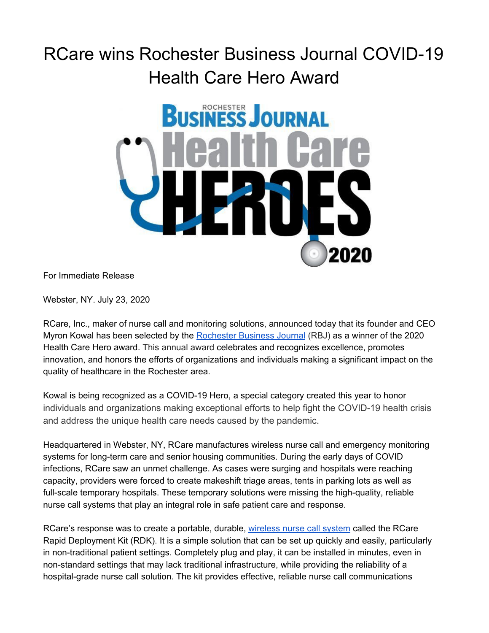## RCare wins Rochester Business Journal COVID-19 Health Care Hero Award



For Immediate Release

Webster, NY. July 23, 2020

[RCare,](http://rcareinc.com/) Inc., maker of nurse call and monitoring solutions, announced today that its founder and CEO Myron Kowal has been selected by the [Rochester](https://rbj.net/events/health-care-heroes/) Business Journal (RBJ) as a winner of the 2020 Health Care Hero award. This annual award celebrates and recognizes excellence, promotes innovation, and honors the efforts of organizations and individuals making a significant impact on the quality of healthcare in the Rochester area.

Kowal is being recognized as a COVID-19 Hero, a special category created this year to honor individuals and organizations making exceptional efforts to help fight the COVID-19 health crisis and address the unique health care needs caused by the pandemic.

Headquartered in Webster, NY, RCare manufactures wireless nurse call and emergency monitoring systems for long-term care and senior housing communities. During the early days of COVID infections, RCare saw an unmet challenge. As cases were surging and hospitals were reaching capacity, providers were forced to create makeshift triage areas, tents in parking lots as well as full-scale temporary hospitals. These temporary solutions were missing the high-quality, reliable nurse call systems that play an integral role in safe patient care and response.

RCare's response was to create a portable, durable, [wireless](https://rcareinc.com/products/rapid-deployment-kit/) nurse call system called the RCare Rapid Deployment Kit (RDK). It is a simple solution that can be set up quickly and easily, particularly in non-traditional patient settings. Completely plug and play, it can be installed in minutes, even in non-standard settings that may lack traditional infrastructure, while providing the reliability of a hospital-grade nurse call solution. The kit provides effective, reliable nurse call communications